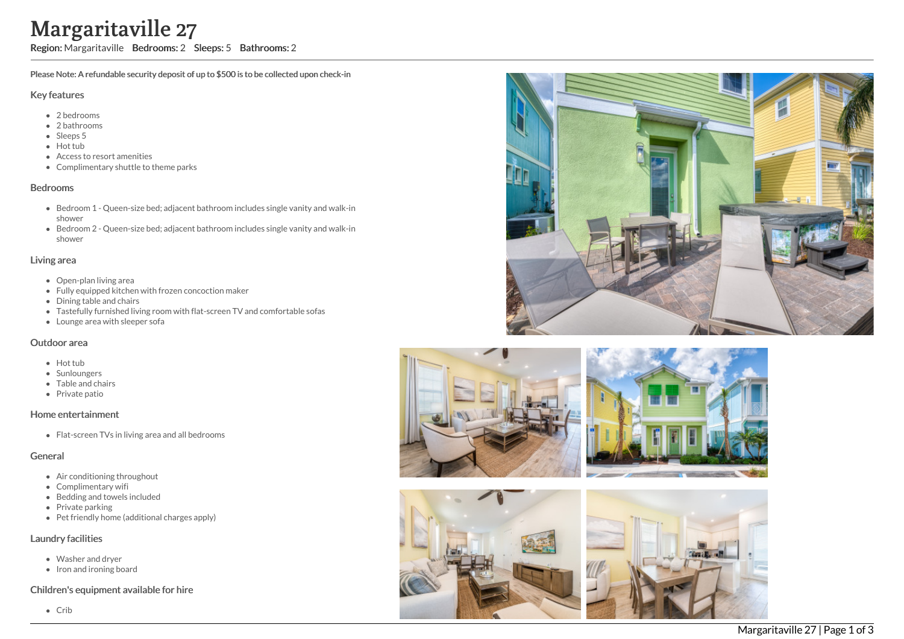# Margaritaville 27

Region: Margaritaville Bedrooms: 2 Sleeps: 5 Bathrooms: 2

Please Note: A refundable security deposit of up to \$500 is to be collected upon check-in

#### Key features

- 2 b e d r o o m s
- 2 bathrooms
- Sleeps 5
- Hot tub
- Access to resort amenities
- Complimentary shuttle to theme parks

#### **Bedrooms**

- Bedroom 1 Queen-size bed; adjacent bathroom includes single vanity and walk-in s h o w e r
- Bedroom 2 Queen-size bed; adjacent bathroom includes single vanity and walk-in s h o w e r

#### Living area

- Open-plan living area
- Fully equipped kitchen with frozen concoction maker
- Dining table and chairs
- Tastefully furnished living room with flat-screen TV and comfortable sofas
- Lounge area with sleeper sofa

#### Outdoor area

- Hot tub
- **Sunloungers**
- T a ble a n d c h air s
- Private patio

## Home entertainment

Flat-screen TVs in living area and all bedrooms

## General

- Air conditioning throughout
- Complimentary wifi
- Bedding and towels in clu d e d
- Private parking
- Pet friendly home (additional charges apply)

## Laundry facilities

- Washer and dryer
- Iron and ironing board

## Children's equipment available for hire

C rib





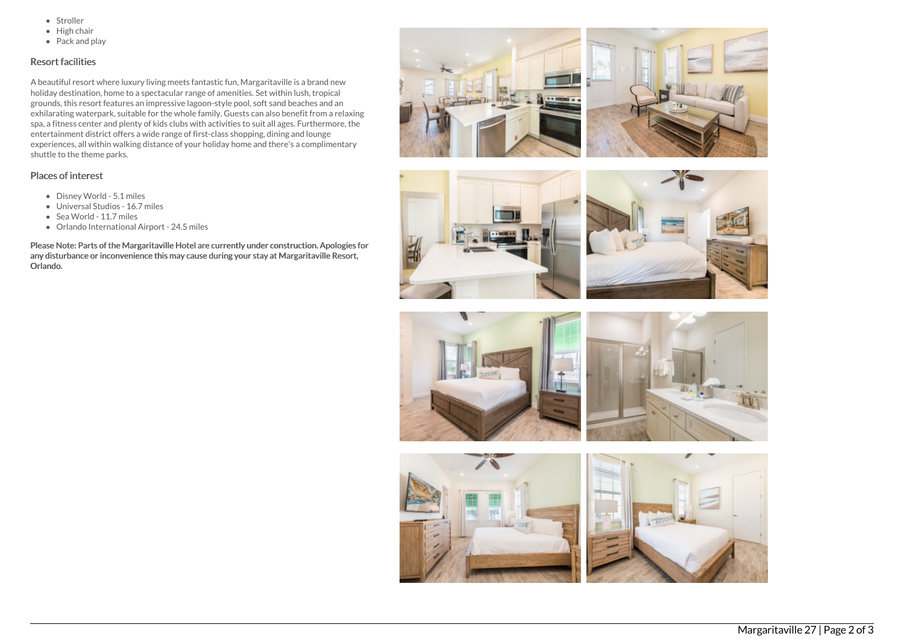- Stroller
- $\bullet$  High chair
- Pack and play

## Resort facilities

A beautiful resort where luxury living meets fantastic fun, Margaritaville is a brand new holiday destination, home to a spectacular range of amenities. Set within lush, tropical grounds, this resort features an impressive lagoon-style pool, soft sand beaches and an exhilarating waterpark, suitable for the whole family. Guests can also benefit from a relaxing spa, a fitness center and plenty of kids clubs with activities to suit all ages. Furthermore, the entertainment district offers a wide range of first-class shopping, dining and lounge experiences, all within walking distance of your holiday home and there's a complimentary shuttle to the theme parks.

#### Places of interest

- Disney World 5.1 miles
- Universal Studios 16.7 miles
- Sea World 11.7 miles
- Orlando International Airport 24.5 miles

Please Note: Parts of the Margaritaville Hotel are currently under construction. Apologies for any disturbance or inconvenience this may cause during your stay at Margaritaville Resort, Orlando.